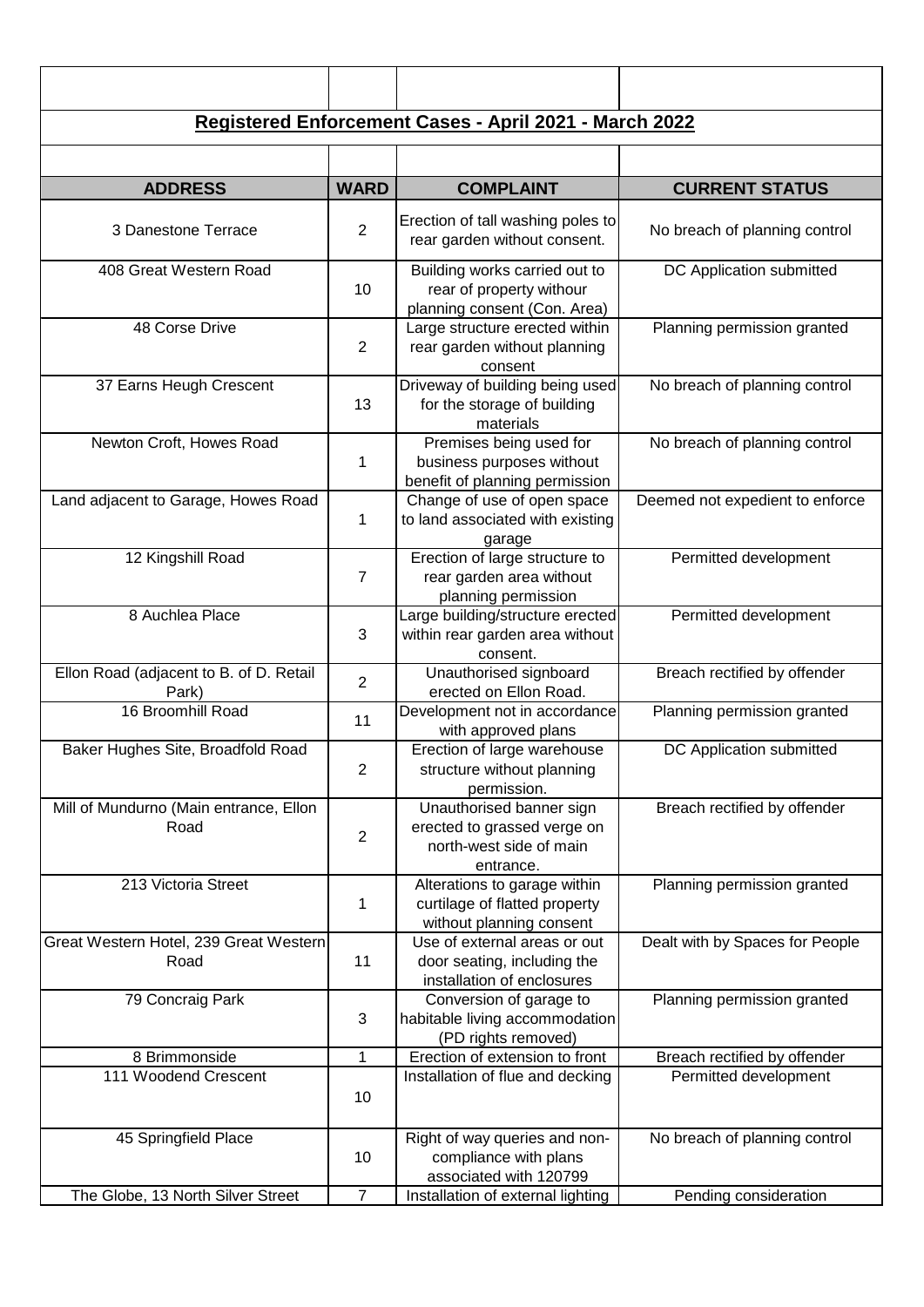| <b>ADDRESS</b>                                   | <b>WARD</b>    | <b>COMPLAINT</b>                                                                                | <b>CURRENT STATUS</b>           |
|--------------------------------------------------|----------------|-------------------------------------------------------------------------------------------------|---------------------------------|
| 3 Danestone Terrace                              | $\overline{2}$ | Erection of tall washing poles to<br>rear garden without consent.                               | No breach of planning control   |
| 408 Great Western Road                           | 10             | Building works carried out to<br>rear of property withour<br>planning consent (Con. Area)       | DC Application submitted        |
| 48 Corse Drive                                   | $\overline{2}$ | Large structure erected within<br>rear garden without planning<br>consent                       | Planning permission granted     |
| 37 Earns Heugh Crescent                          | 13             | Driveway of building being used<br>for the storage of building<br>materials                     | No breach of planning control   |
| Newton Croft, Howes Road                         | 1              | Premises being used for<br>business purposes without<br>benefit of planning permission          | No breach of planning control   |
| Land adjacent to Garage, Howes Road              | 1              | Change of use of open space<br>to land associated with existing<br>garage                       | Deemed not expedient to enforce |
| 12 Kingshill Road                                | $\overline{7}$ | Erection of large structure to<br>rear garden area without<br>planning permission               | Permitted development           |
| 8 Auchlea Place                                  | 3              | Large building/structure erected<br>within rear garden area without<br>consent.                 | Permitted development           |
| Ellon Road (adjacent to B. of D. Retail<br>Park) | $\overline{2}$ | Unauthorised signboard<br>erected on Ellon Road.                                                | Breach rectified by offender    |
| 16 Broomhill Road                                | 11             | Development not in accordance<br>with approved plans                                            | Planning permission granted     |
| Baker Hughes Site, Broadfold Road                | $\overline{c}$ | Erection of large warehouse<br>structure without planning<br>permission.                        | DC Application submitted        |
| Mill of Mundurno (Main entrance, Ellon<br>Road   | 2              | Unauthorised banner sign<br>erected to grassed verge on<br>north-west side of main<br>entrance. | Breach rectified by offender    |
| 213 Victoria Street                              | 1              | Alterations to garage within<br>curtilage of flatted property<br>without planning consent       | Planning permission granted     |
| Great Western Hotel, 239 Great Western<br>Road   | 11             | Use of external areas or out<br>door seating, including the<br>installation of enclosures       | Dealt with by Spaces for People |
| 79 Concraig Park                                 | 3              | Conversion of garage to<br>habitable living accommodation<br>(PD rights removed)                | Planning permission granted     |
| 8 Brimmonside                                    | 1              | Erection of extension to front                                                                  | Breach rectified by offender    |
| 111 Woodend Crescent                             | 10             | Installation of flue and decking                                                                | Permitted development           |
| 45 Springfield Place                             | 10             | Right of way queries and non-<br>compliance with plans<br>associated with 120799                | No breach of planning control   |
| The Globe, 13 North Silver Street                | $\overline{7}$ | Installation of external lighting                                                               | Pending consideration           |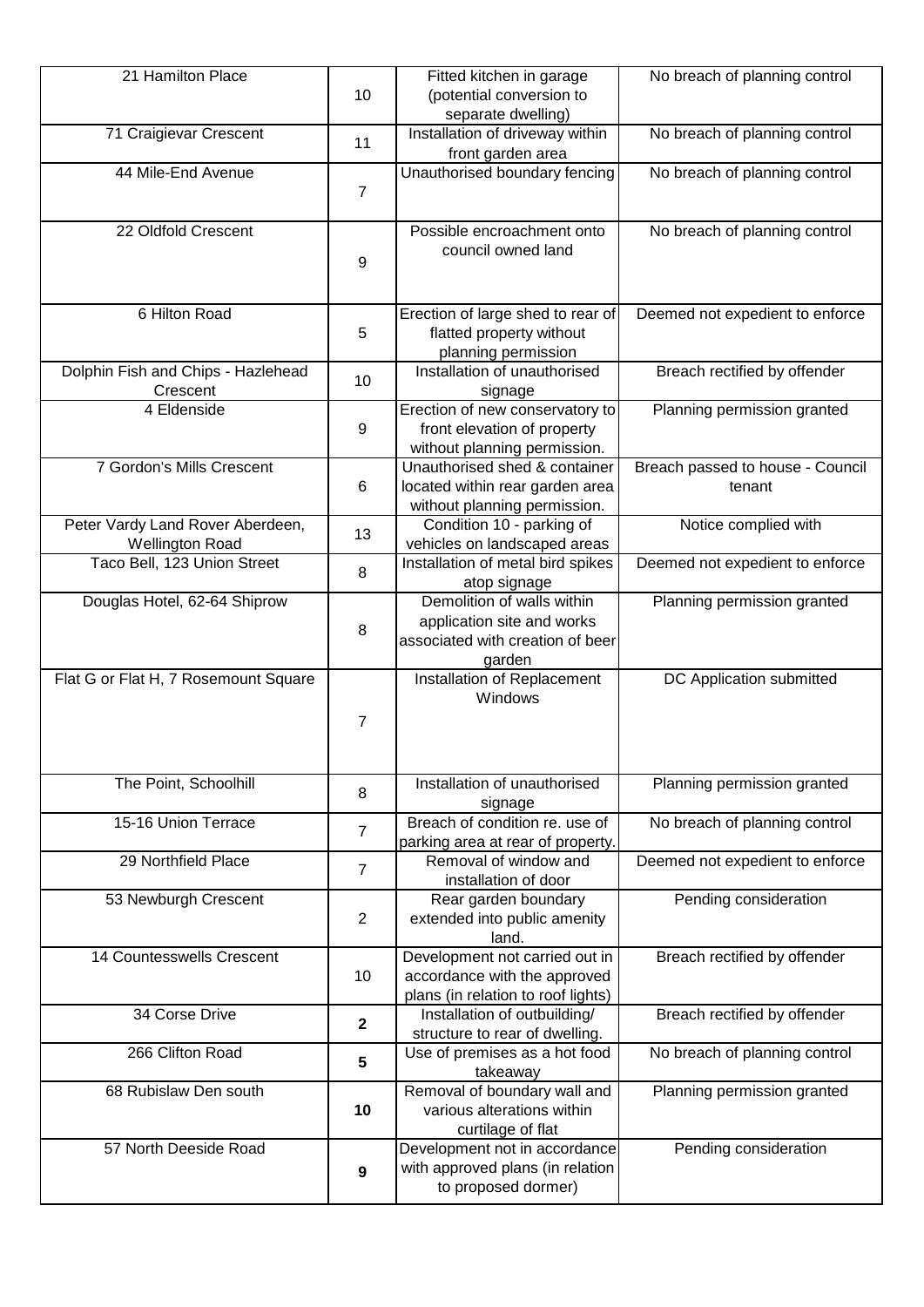| 21 Hamilton Place                                          | 10              | Fitted kitchen in garage<br>(potential conversion to<br>separate dwelling)                             | No breach of planning control              |
|------------------------------------------------------------|-----------------|--------------------------------------------------------------------------------------------------------|--------------------------------------------|
| 71 Craigievar Crescent                                     | 11              | Installation of driveway within<br>front garden area                                                   | No breach of planning control              |
| 44 Mile-End Avenue                                         | $\overline{7}$  | Unauthorised boundary fencing                                                                          | No breach of planning control              |
| 22 Oldfold Crescent                                        | 9               | Possible encroachment onto<br>council owned land                                                       | No breach of planning control              |
| 6 Hilton Road                                              | 5               | Erection of large shed to rear of<br>flatted property without<br>planning permission                   | Deemed not expedient to enforce            |
| Dolphin Fish and Chips - Hazlehead<br>Crescent             | 10              | Installation of unauthorised<br>signage                                                                | Breach rectified by offender               |
| 4 Eldenside                                                | 9               | Erection of new conservatory to<br>front elevation of property<br>without planning permission.         | Planning permission granted                |
| 7 Gordon's Mills Crescent                                  | $6\phantom{1}6$ | Unauthorised shed & container<br>located within rear garden area<br>without planning permission.       | Breach passed to house - Council<br>tenant |
| Peter Vardy Land Rover Aberdeen,<br><b>Wellington Road</b> | 13              | Condition 10 - parking of<br>vehicles on landscaped areas                                              | Notice complied with                       |
| Taco Bell, 123 Union Street                                | 8               | Installation of metal bird spikes<br>atop signage                                                      | Deemed not expedient to enforce            |
| Douglas Hotel, 62-64 Shiprow                               | 8               | Demolition of walls within<br>application site and works<br>associated with creation of beer<br>garden | Planning permission granted                |
| Flat G or Flat H, 7 Rosemount Square                       | $\overline{7}$  | Installation of Replacement<br>Windows                                                                 | DC Application submitted                   |
| The Point, Schoolhill                                      | 8               | Installation of unauthorised<br>signage                                                                | Planning permission granted                |
| 15-16 Union Terrace                                        | $\overline{7}$  | Breach of condition re. use of<br>parking area at rear of property.                                    | No breach of planning control              |
| 29 Northfield Place                                        | $\overline{7}$  | Removal of window and<br>installation of door                                                          | Deemed not expedient to enforce            |
| 53 Newburgh Crescent                                       | $\overline{2}$  | Rear garden boundary<br>extended into public amenity<br>land.                                          | Pending consideration                      |
| 14 Countesswells Crescent                                  | 10              | Development not carried out in<br>accordance with the approved<br>plans (in relation to roof lights)   | Breach rectified by offender               |
| 34 Corse Drive                                             | $\mathbf{2}$    | Installation of outbuilding/<br>structure to rear of dwelling.                                         | Breach rectified by offender               |
| 266 Clifton Road                                           | 5               | Use of premises as a hot food<br>takeaway                                                              | No breach of planning control              |
| 68 Rubislaw Den south                                      | 10              | Removal of boundary wall and<br>various alterations within<br>curtilage of flat                        | Planning permission granted                |
| 57 North Deeside Road                                      | 9               | Development not in accordance<br>with approved plans (in relation<br>to proposed dormer)               | Pending consideration                      |